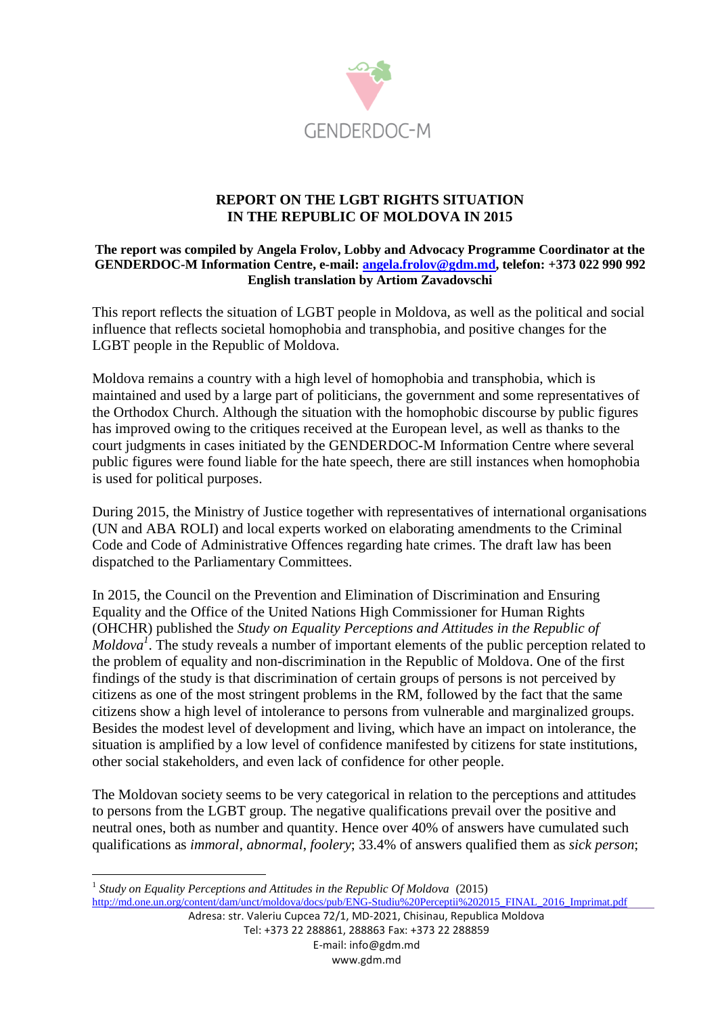

### **REPORT ON THE LGBT RIGHTS SITUATION IN THE REPUBLIC OF MOLDOVA IN 2015**

#### **The report was compiled by Angela Frolov, Lobby and Advocacy Programme Coordinator at the GENDERDOC-M Information Centre, e-mail: [angela.frolov@gdm.md,](mailto:angela.frolov@gdm.md) telefon: +373 022 990 992 English translation by Artiom Zavadovschi**

This report reflects the situation of LGBT people in Moldova, as well as the political and social influence that reflects societal homophobia and transphobia, and positive changes for the LGBT people in the Republic of Moldova.

Moldova remains a country with a high level of homophobia and transphobia, which is maintained and used by a large part of politicians, the government and some representatives of the Orthodox Church. Although the situation with the homophobic discourse by public figures has improved owing to the critiques received at the European level, as well as thanks to the court judgments in cases initiated by the GENDERDOC-M Information Centre where several public figures were found liable for the hate speech, there are still instances when homophobia is used for political purposes.

During 2015, the Ministry of Justice together with representatives of international organisations (UN and ABA ROLI) and local experts worked on elaborating amendments to the Criminal Code and Code of Administrative Offences regarding hate crimes. The draft law has been dispatched to the Parliamentary Committees.

In 2015, the Council on the Prevention and Elimination of Discrimination and Ensuring Equality and the Office of the United Nations High Commissioner for Human Rights (OHCHR) published the *Study on Equality Perceptions and Attitudes in the Republic of*   $\overline{M}$ *Moldova*<sup> $\overline{I}$ </sup>. The study reveals a number of important elements of the public perception related to the problem of equality and non-discrimination in the Republic of Moldova. One of the first findings of the study is that discrimination of certain groups of persons is not perceived by citizens as one of the most stringent problems in the RM, followed by the fact that the same citizens show a high level of intolerance to persons from vulnerable and marginalized groups. Besides the modest level of development and living, which have an impact on intolerance, the situation is amplified by a low level of confidence manifested by citizens for state institutions, other social stakeholders, and even lack of confidence for other people.

The Moldovan society seems to be very categorical in relation to the perceptions and attitudes to persons from the LGBT group. The negative qualifications prevail over the positive and neutral ones, both as number and quantity. Hence over 40% of answers have cumulated such qualifications as *immoral*, *abnormal*, *foolery*; 33.4% of answers qualified them as *sick person*;

<sup>&</sup>lt;sup>1</sup> Study on Equality Perceptions and Attitudes in the Republic Of Moldova (2015) [http://md.one.un.org/content/dam/unct/moldova/docs/pub/ENG-Studiu%20Perceptii%202015\\_FINAL\\_2016\\_Imprimat.pdf](http://md.one.un.org/content/dam/unct/moldova/docs/pub/ENG-Studiu%20Perceptii%202015_FINAL_2016_Imprimat.pdf)

Adresa: str. Valeriu Cupcea 72/1, MD-2021, Chisinau, Republica Moldova Tel: +373 22 288861, 288863 Fax: +373 22 288859 E-mail: info@gdm.md www.gdm.md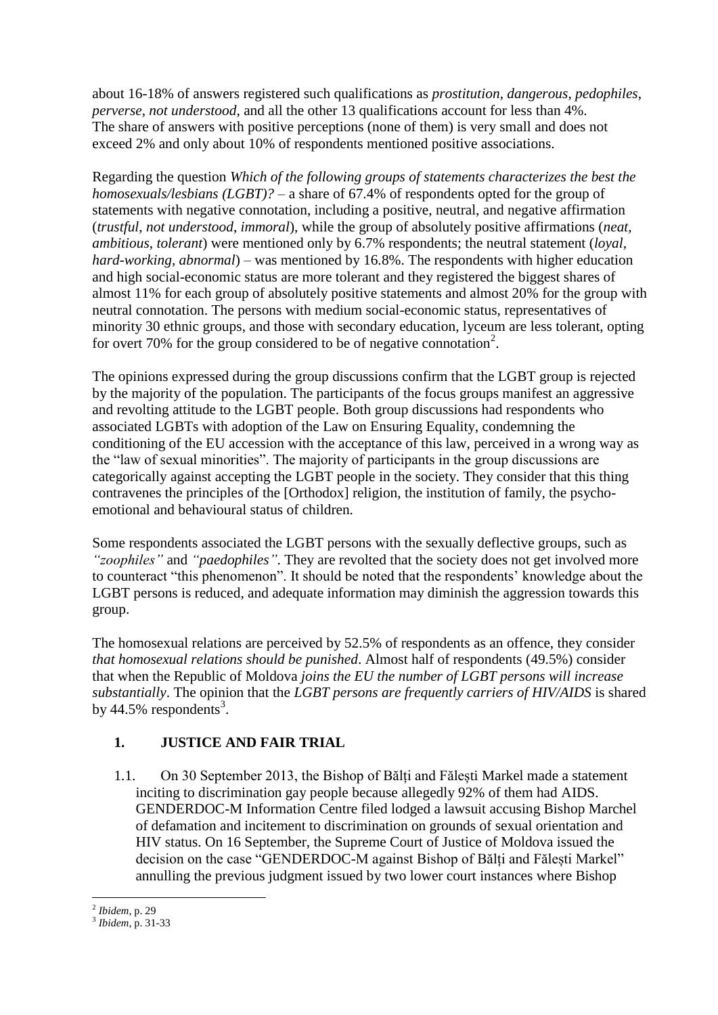about 16-18% of answers registered such qualifications as *prostitution*, *dangerous*, *pedophiles*, *perverse*, *not understood*, and all the other 13 qualifications account for less than 4%. The share of answers with positive perceptions (none of them) is very small and does not exceed 2% and only about 10% of respondents mentioned positive associations.

Regarding the question *Which of the following groups of statements characterizes the best the homosexuals/lesbians (LGBT)?* – a share of 67.4% of respondents opted for the group of statements with negative connotation, including a positive, neutral, and negative affirmation (*trustful*, *not understood*, *immoral*), while the group of absolutely positive affirmations (*neat*, *ambitious*, *tolerant*) were mentioned only by 6.7% respondents; the neutral statement (*loyal*, *hard-working, abnormal*) – was mentioned by 16.8%. The respondents with higher education and high social-economic status are more tolerant and they registered the biggest shares of almost 11% for each group of absolutely positive statements and almost 20% for the group with neutral connotation. The persons with medium social-economic status, representatives of minority 30 ethnic groups, and those with secondary education, lyceum are less tolerant, opting for overt 70% for the group considered to be of negative connotation<sup>2</sup>.

The opinions expressed during the group discussions confirm that the LGBT group is rejected by the majority of the population. The participants of the focus groups manifest an aggressive and revolting attitude to the LGBT people. Both group discussions had respondents who associated LGBTs with adoption of the Law on Ensuring Equality, condemning the conditioning of the EU accession with the acceptance of this law, perceived in a wrong way as the "law of sexual minorities". The majority of participants in the group discussions are categorically against accepting the LGBT people in the society. They consider that this thing contravenes the principles of the [Orthodox] religion, the institution of family, the psychoemotional and behavioural status of children.

Some respondents associated the LGBT persons with the sexually deflective groups, such as *"zoophiles"* and *"paedophiles"*. They are revolted that the society does not get involved more to counteract "this phenomenon". It should be noted that the respondents' knowledge about the LGBT persons is reduced, and adequate information may diminish the aggression towards this group.

The homosexual relations are perceived by 52.5% of respondents as an offence, they consider *that homosexual relations should be punished*. Almost half of respondents (49.5%) consider that when the Republic of Moldova *joins the EU the number of LGBT persons will increase substantially*. The opinion that the *LGBT persons are frequently carriers of HIV/AIDS* is shared by 44.5% respondents<sup>3</sup>.

# **1. JUSTICE AND FAIR TRIAL**

1.1. On 30 September 2013, the Bishop of Bălți and Fălești Markel made a statement inciting to discrimination gay people because allegedly 92% of them had AIDS. GENDERDOC-M Information Centre filed lodged a lawsuit accusing Bishop Marchel of defamation and incitement to discrimination on grounds of sexual orientation and HIV status. On 16 September, the Supreme Court of Justice of Moldova issued the decision on the case "GENDERDOC-M against Bishop of Bălți and Fălești Markel" annulling the previous judgment issued by two lower court instances where Bishop

 $\overline{a}$ 2 *Ibidem*, p. 29

<sup>3</sup> *Ibidem*, p. 31-33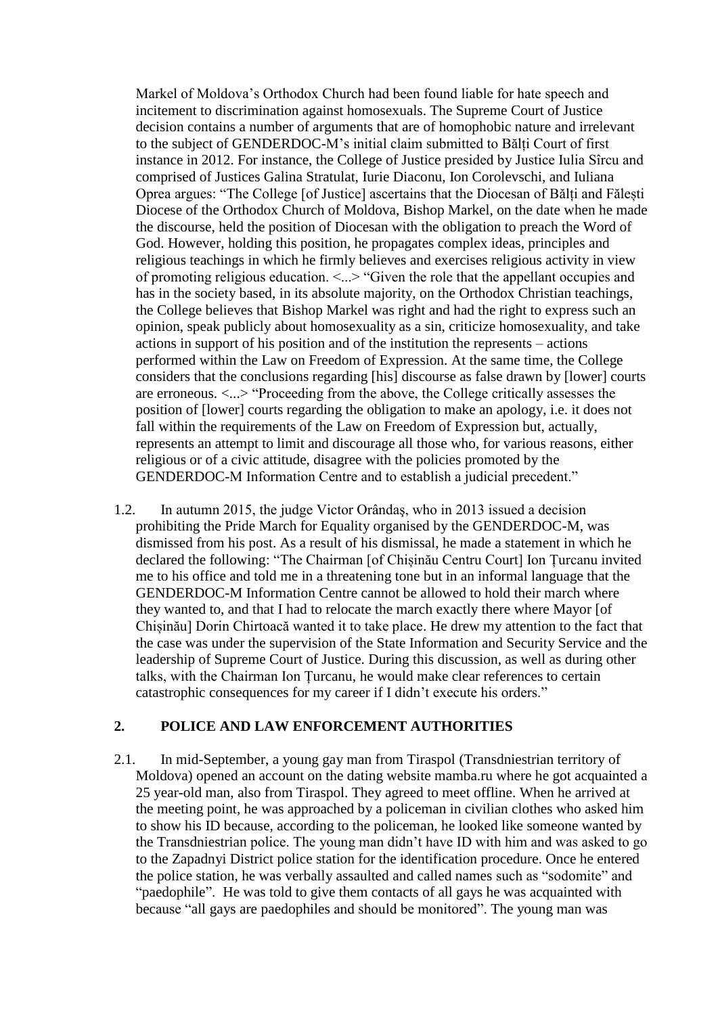Markel of Moldova's Orthodox Church had been found liable for hate speech and incitement to discrimination against homosexuals. The Supreme Court of Justice decision contains a number of arguments that are of homophobic nature and irrelevant to the subject of GENDERDOC-M's initial claim submitted to Bălți Court of first instance in 2012. For instance, the College of Justice presided by Justice Iulia Sîrcu and comprised of Justices Galina Stratulat, Iurie Diaconu, Ion Corolevschi, and Iuliana Oprea argues: "The College [of Justice] ascertains that the Diocesan of Bălți and Fălești Diocese of the Orthodox Church of Moldova, Bishop Markel, on the date when he made the discourse, held the position of Diocesan with the obligation to preach the Word of God. However, holding this position, he propagates complex ideas, principles and religious teachings in which he firmly believes and exercises religious activity in view of promoting religious education. <...> "Given the role that the appellant occupies and has in the society based, in its absolute majority, on the Orthodox Christian teachings, the College believes that Bishop Markel was right and had the right to express such an opinion, speak publicly about homosexuality as a sin, criticize homosexuality, and take actions in support of his position and of the institution the represents – actions performed within the Law on Freedom of Expression. At the same time, the College considers that the conclusions regarding [his] discourse as false drawn by [lower] courts are erroneous. <...> "Proceeding from the above, the College critically assesses the position of [lower] courts regarding the obligation to make an apology, i.e. it does not fall within the requirements of the Law on Freedom of Expression but, actually, represents an attempt to limit and discourage all those who, for various reasons, either religious or of a civic attitude, disagree with the policies promoted by the GENDERDOC-M Information Centre and to establish a judicial precedent."

1.2. In autumn 2015, the judge Victor Orândaş, who in 2013 issued a decision prohibiting the Pride March for Equality organised by the GENDERDOC-M, was dismissed from his post. As a result of his dismissal, he made a statement in which he declared the following: "The Chairman [of Chișinău Centru Court] Ion Țurcanu invited me to his office and told me in a threatening tone but in an informal language that the GENDERDOC-M Information Centre cannot be allowed to hold their march where they wanted to, and that I had to relocate the march exactly there where Mayor [of Chișinău] Dorin Chirtoacă wanted it to take place. He drew my attention to the fact that the case was under the supervision of the State Information and Security Service and the leadership of Supreme Court of Justice. During this discussion, as well as during other talks, with the Chairman Ion Țurcanu, he would make clear references to certain catastrophic consequences for my career if I didn't execute his orders."

#### **2. POLICE AND LAW ENFORCEMENT AUTHORITIES**

2.1. In mid-September, a young gay man from Tiraspol (Transdniestrian territory of Moldova) opened an account on the dating website mamba.ru where he got acquainted a 25 year-old man, also from Tiraspol. They agreed to meet offline. When he arrived at the meeting point, he was approached by a policeman in civilian clothes who asked him to show his ID because, according to the policeman, he looked like someone wanted by the Transdniestrian police. The young man didn't have ID with him and was asked to go to the Zapadnyi District police station for the identification procedure. Once he entered the police station, he was verbally assaulted and called names such as "sodomite" and "paedophile". He was told to give them contacts of all gays he was acquainted with because "all gays are paedophiles and should be monitored". The young man was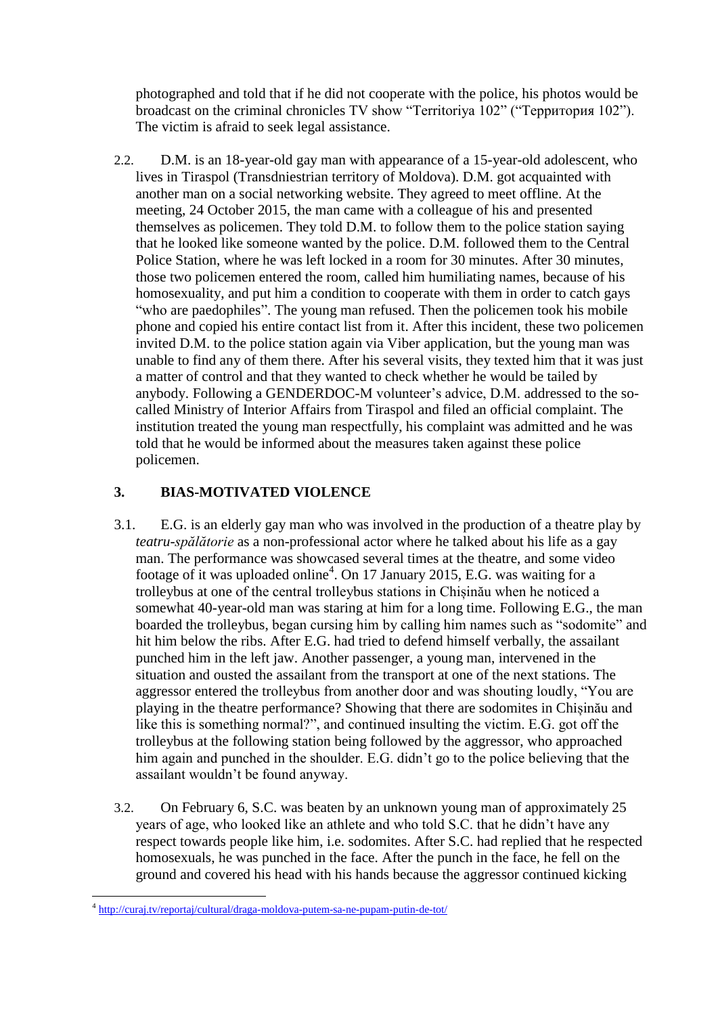photographed and told that if he did not cooperate with the police, his photos would be broadcast on the criminal chronicles TV show "Territoriya 102" ("Территория 102"). The victim is afraid to seek legal assistance.

2.2. D.M. is an 18-year-old gay man with appearance of a 15-year-old adolescent, who lives in Tiraspol (Transdniestrian territory of Moldova). D.M. got acquainted with another man on a social networking website. They agreed to meet offline. At the meeting, 24 October 2015, the man came with a colleague of his and presented themselves as policemen. They told D.M. to follow them to the police station saying that he looked like someone wanted by the police. D.M. followed them to the Central Police Station, where he was left locked in a room for 30 minutes. After 30 minutes, those two policemen entered the room, called him humiliating names, because of his homosexuality, and put him a condition to cooperate with them in order to catch gays "who are paedophiles". The young man refused. Then the policemen took his mobile phone and copied his entire contact list from it. After this incident, these two policemen invited D.M. to the police station again via Viber application, but the young man was unable to find any of them there. After his several visits, they texted him that it was just a matter of control and that they wanted to check whether he would be tailed by anybody. Following a GENDERDOC-M volunteer's advice, D.M. addressed to the socalled Ministry of Interior Affairs from Tiraspol and filed an official complaint. The institution treated the young man respectfully, his complaint was admitted and he was told that he would be informed about the measures taken against these police policemen.

## **3. BIAS-MOTIVATED VIOLENCE**

- 3.1. E.G. is an elderly gay man who was involved in the production of a theatre play by *teatru-spălătorie* as a non-professional actor where he talked about his life as a gay man. The performance was showcased several times at the theatre, and some video footage of it was uploaded online<sup>4</sup>. On 17 January 2015, E.G. was waiting for a trolleybus at one of the central trolleybus stations in Chișinău when he noticed a somewhat 40-year-old man was staring at him for a long time. Following E.G., the man boarded the trolleybus, began cursing him by calling him names such as "sodomite" and hit him below the ribs. After E.G. had tried to defend himself verbally, the assailant punched him in the left jaw. Another passenger, a young man, intervened in the situation and ousted the assailant from the transport at one of the next stations. The aggressor entered the trolleybus from another door and was shouting loudly, "You are playing in the theatre performance? Showing that there are sodomites in Chișinău and like this is something normal?", and continued insulting the victim. E.G. got off the trolleybus at the following station being followed by the aggressor, who approached him again and punched in the shoulder. E.G. didn't go to the police believing that the assailant wouldn't be found anyway.
- 3.2. On February 6, S.C. was beaten by an unknown young man of approximately 25 years of age, who looked like an athlete and who told S.C. that he didn't have any respect towards people like him, i.e. sodomites. After S.C. had replied that he respected homosexuals, he was punched in the face. After the punch in the face, he fell on the ground and covered his head with his hands because the aggressor continued kicking

<sup>&</sup>lt;sup>4</sup> <http://curaj.tv/reportaj/cultural/draga-moldova-putem-sa-ne-pupam-putin-de-tot/>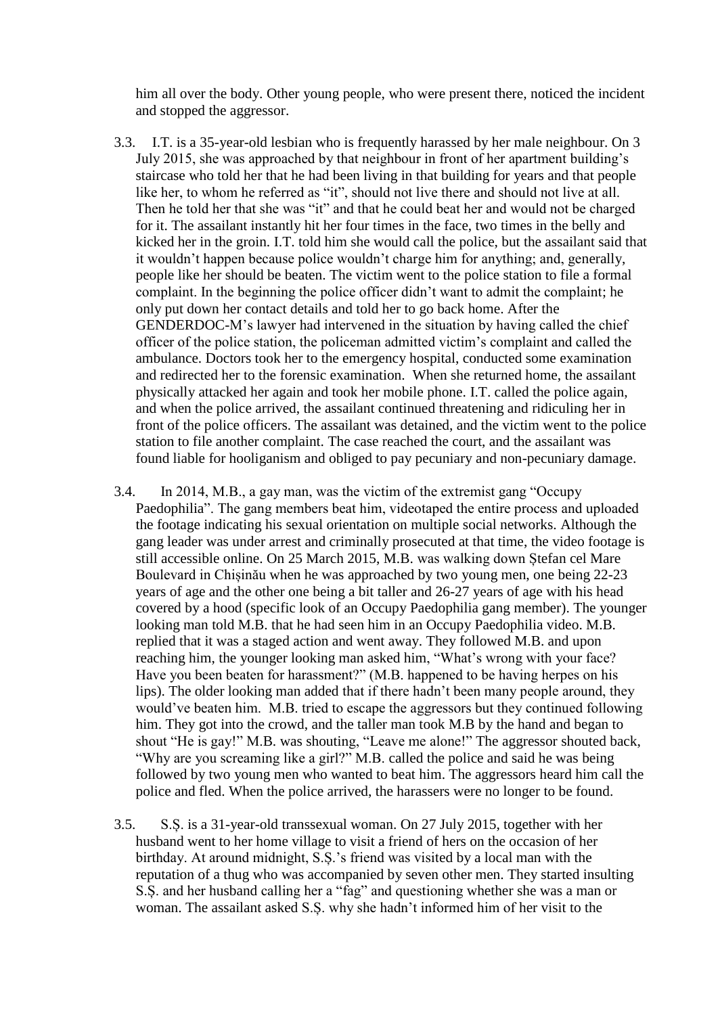him all over the body. Other young people, who were present there, noticed the incident and stopped the aggressor.

- 3.3. I.T. is a 35-year-old lesbian who is frequently harassed by her male neighbour. On 3 July 2015, she was approached by that neighbour in front of her apartment building's staircase who told her that he had been living in that building for years and that people like her, to whom he referred as "it", should not live there and should not live at all. Then he told her that she was "it" and that he could beat her and would not be charged for it. The assailant instantly hit her four times in the face, two times in the belly and kicked her in the groin. I.T. told him she would call the police, but the assailant said that it wouldn't happen because police wouldn't charge him for anything; and, generally, people like her should be beaten. The victim went to the police station to file a formal complaint. In the beginning the police officer didn't want to admit the complaint; he only put down her contact details and told her to go back home. After the GENDERDOC-M's lawyer had intervened in the situation by having called the chief officer of the police station, the policeman admitted victim's complaint and called the ambulance. Doctors took her to the emergency hospital, conducted some examination and redirected her to the forensic examination. When she returned home, the assailant physically attacked her again and took her mobile phone. I.T. called the police again, and when the police arrived, the assailant continued threatening and ridiculing her in front of the police officers. The assailant was detained, and the victim went to the police station to file another complaint. The case reached the court, and the assailant was found liable for hooliganism and obliged to pay pecuniary and non-pecuniary damage.
- 3.4. In 2014, M.B., a gay man, was the victim of the extremist gang "Occupy Paedophilia". The gang members beat him, videotaped the entire process and uploaded the footage indicating his sexual orientation on multiple social networks. Although the gang leader was under arrest and criminally prosecuted at that time, the video footage is still accessible online. On 25 March 2015, M.B. was walking down Ștefan cel Mare Boulevard in Chișinău when he was approached by two young men, one being 22-23 years of age and the other one being a bit taller and 26-27 years of age with his head covered by a hood (specific look of an Occupy Paedophilia gang member). The younger looking man told M.B. that he had seen him in an Occupy Paedophilia video. M.B. replied that it was a staged action and went away. They followed M.B. and upon reaching him, the younger looking man asked him, "What's wrong with your face? Have you been beaten for harassment?" (M.B. happened to be having herpes on his lips). The older looking man added that if there hadn't been many people around, they would've beaten him. M.B. tried to escape the aggressors but they continued following him. They got into the crowd, and the taller man took M.B by the hand and began to shout "He is gay!" M.B. was shouting, "Leave me alone!" The aggressor shouted back, "Why are you screaming like a girl?" M.B. called the police and said he was being followed by two young men who wanted to beat him. The aggressors heard him call the police and fled. When the police arrived, the harassers were no longer to be found.
- 3.5. S.Ș. is a 31-year-old transsexual woman. On 27 July 2015, together with her husband went to her home village to visit a friend of hers on the occasion of her birthday. At around midnight, S.Ș.'s friend was visited by a local man with the reputation of a thug who was accompanied by seven other men. They started insulting S.Ș. and her husband calling her a "fag" and questioning whether she was a man or woman. The assailant asked S.Ș. why she hadn't informed him of her visit to the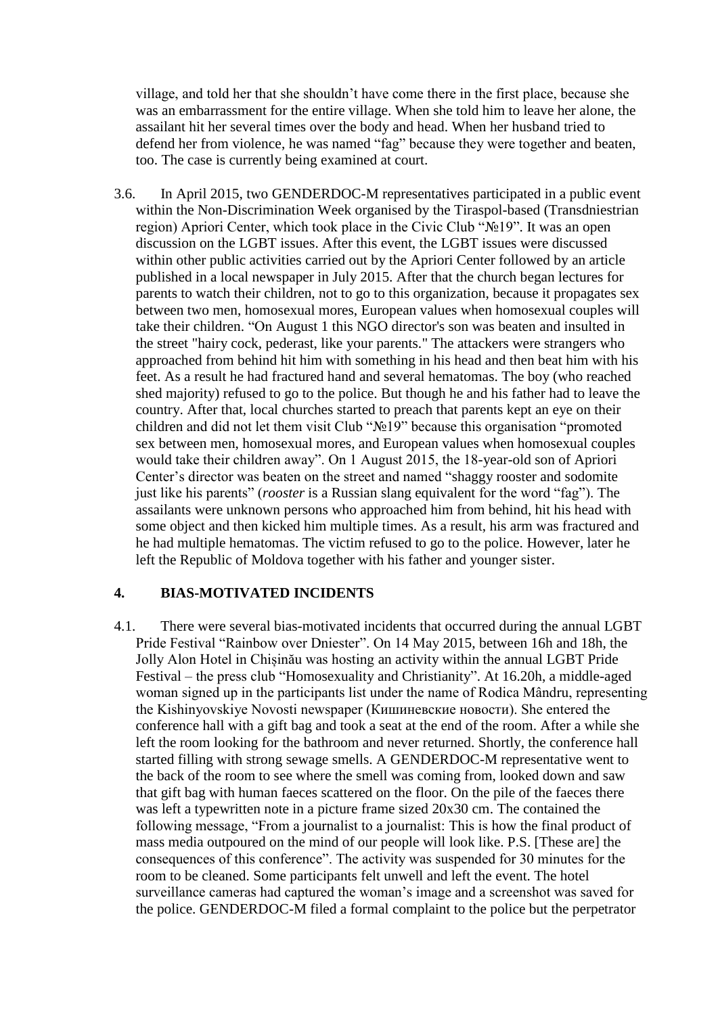village, and told her that she shouldn't have come there in the first place, because she was an embarrassment for the entire village. When she told him to leave her alone, the assailant hit her several times over the body and head. When her husband tried to defend her from violence, he was named "fag" because they were together and beaten, too. The case is currently being examined at court.

3.6. In April 2015, two GENDERDOC-M representatives participated in a public event within the Non-Discrimination Week organised by the Tiraspol-based (Transdniestrian region) Apriori Center, which took place in the Civic Club "№19". It was an open discussion on the LGBT issues. After this event, the LGBT issues were discussed within other public activities carried out by the Apriori Center followed by an article published in a local newspaper in July 2015. After that the church began lectures for parents to watch their children, not to go to this organization, because it propagates sex between two men, homosexual mores, European values when homosexual couples will take their children. "On August 1 this NGO director's son was beaten and insulted in the street "hairy cock, pederast, like your parents." The attackers were strangers who approached from behind hit him with something in his head and then beat him with his feet. As a result he had fractured hand and several hematomas. The boy (who reached shed majority) refused to go to the police. But though he and his father had to leave the country. After that, local churches started to preach that parents kept an eye on their children and did not let them visit Club "№19" because this organisation "promoted sex between men, homosexual mores, and European values when homosexual couples would take their children away". On 1 August 2015, the 18-year-old son of Apriori Center's director was beaten on the street and named "shaggy rooster and sodomite just like his parents" (*rooster* is a Russian slang equivalent for the word "fag"). The assailants were unknown persons who approached him from behind, hit his head with some object and then kicked him multiple times. As a result, his arm was fractured and he had multiple hematomas. The victim refused to go to the police. However, later he left the Republic of Moldova together with his father and younger sister.

## **4. BIAS-MOTIVATED INCIDENTS**

4.1. There were several bias-motivated incidents that occurred during the annual LGBT Pride Festival "Rainbow over Dniester". On 14 May 2015, between 16h and 18h, the Jolly Alon Hotel in Chișinău was hosting an activity within the annual LGBT Pride Festival – the press club "Homosexuality and Christianity". At 16.20h, a middle-aged woman signed up in the participants list under the name of Rodica Mândru, representing the Kishinyovskiye Novosti newspaper (Кишиневские новости). She entered the conference hall with a gift bag and took a seat at the end of the room. After a while she left the room looking for the bathroom and never returned. Shortly, the conference hall started filling with strong sewage smells. A GENDERDOC-M representative went to the back of the room to see where the smell was coming from, looked down and saw that gift bag with human faeces scattered on the floor. On the pile of the faeces there was left a typewritten note in a picture frame sized 20x30 cm. The contained the following message, "From a journalist to a journalist: This is how the final product of mass media outpoured on the mind of our people will look like. P.S. [These are] the consequences of this conference". The activity was suspended for 30 minutes for the room to be cleaned. Some participants felt unwell and left the event. The hotel surveillance cameras had captured the woman's image and a screenshot was saved for the police. GENDERDOC-M filed a formal complaint to the police but the perpetrator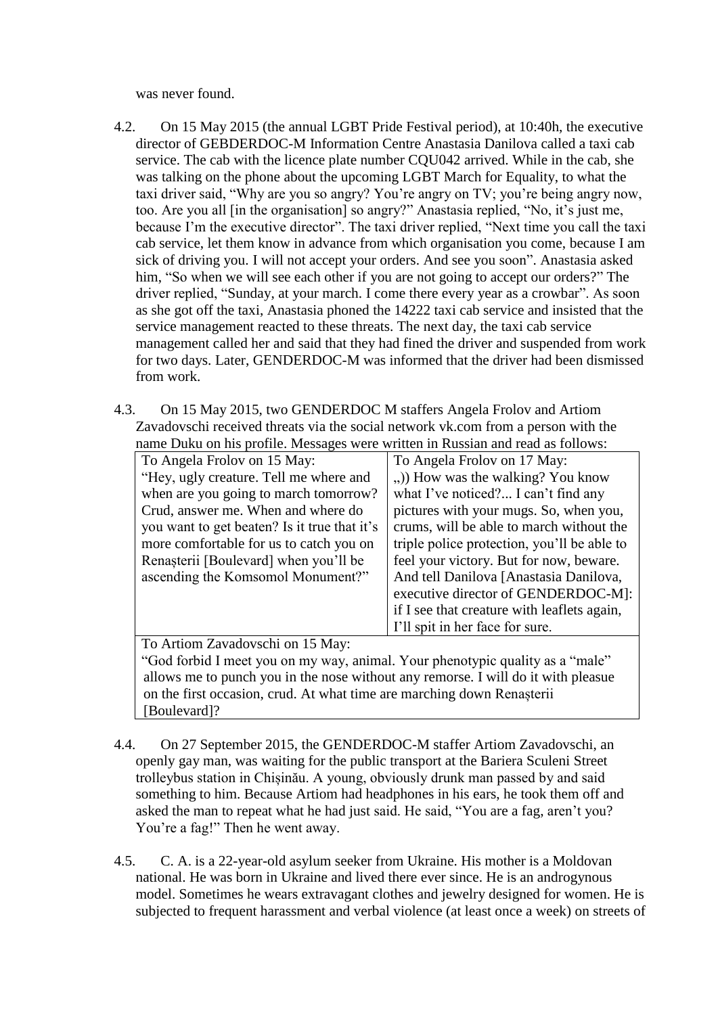was never found.

- 4.2. On 15 May 2015 (the annual LGBT Pride Festival period), at 10:40h, the executive director of GEBDERDOC-M Information Centre Anastasia Danilova called a taxi cab service. The cab with the licence plate number CQU042 arrived. While in the cab, she was talking on the phone about the upcoming LGBT March for Equality, to what the taxi driver said, "Why are you so angry? You're angry on TV; you're being angry now, too. Are you all [in the organisation] so angry?" Anastasia replied, "No, it's just me, because I'm the executive director". The taxi driver replied, "Next time you call the taxi cab service, let them know in advance from which organisation you come, because I am sick of driving you. I will not accept your orders. And see you soon". Anastasia asked him, "So when we will see each other if you are not going to accept our orders?" The driver replied, "Sunday, at your march. I come there every year as a crowbar". As soon as she got off the taxi, Anastasia phoned the 14222 taxi cab service and insisted that the service management reacted to these threats. The next day, the taxi cab service management called her and said that they had fined the driver and suspended from work for two days. Later, GENDERDOC-M was informed that the driver had been dismissed from work.
- 4.3. On 15 May 2015, two GENDERDOC M staffers Angela Frolov and Artiom Zavadovschi received threats via the social network vk.com from a person with the name Duku on his profile. Messages were written in Russian and read as follows:

| To Angela Frolov on 15 May:                                                       | To Angela Frolov on 17 May:                 |
|-----------------------------------------------------------------------------------|---------------------------------------------|
| "Hey, ugly creature. Tell me where and                                            | ) How was the walking? You know             |
| when are you going to march tomorrow?                                             | what I've noticed? I can't find any         |
| Crud, answer me. When and where do                                                | pictures with your mugs. So, when you,      |
| you want to get beaten? Is it true that it's                                      | crums, will be able to march without the    |
| more comfortable for us to catch you on                                           | triple police protection, you'll be able to |
| Renașterii [Boulevard] when you'll be                                             | feel your victory. But for now, beware.     |
| ascending the Komsomol Monument?"                                                 | And tell Danilova [Anastasia Danilova,      |
|                                                                                   | executive director of GENDERDOC-M]:         |
|                                                                                   | if I see that creature with leaflets again, |
|                                                                                   | I'll spit in her face for sure.             |
| To Artiom Zavadovschi on 15 May:                                                  |                                             |
| "God forbid I meet you on my way, animal. Your phenotypic quality as a "male"     |                                             |
| allows me to punch you in the nose without any remorse. I will do it with pleasue |                                             |
| on the first occasion, crud. At what time are marching down Renasterii            |                                             |

[Boulevard]?

- 4.4. On 27 September 2015, the GENDERDOC-M staffer Artiom Zavadovschi, an openly gay man, was waiting for the public transport at the Bariera Sculeni Street trolleybus station in Chișinău. A young, obviously drunk man passed by and said something to him. Because Artiom had headphones in his ears, he took them off and asked the man to repeat what he had just said. He said, "You are a fag, aren't you? You're a fag!" Then he went away.
- 4.5. C. A. is a 22-year-old asylum seeker from Ukraine. His mother is a Moldovan national. He was born in Ukraine and lived there ever since. He is an androgynous model. Sometimes he wears extravagant clothes and jewelry designed for women. He is subjected to frequent harassment and verbal violence (at least once a week) on streets of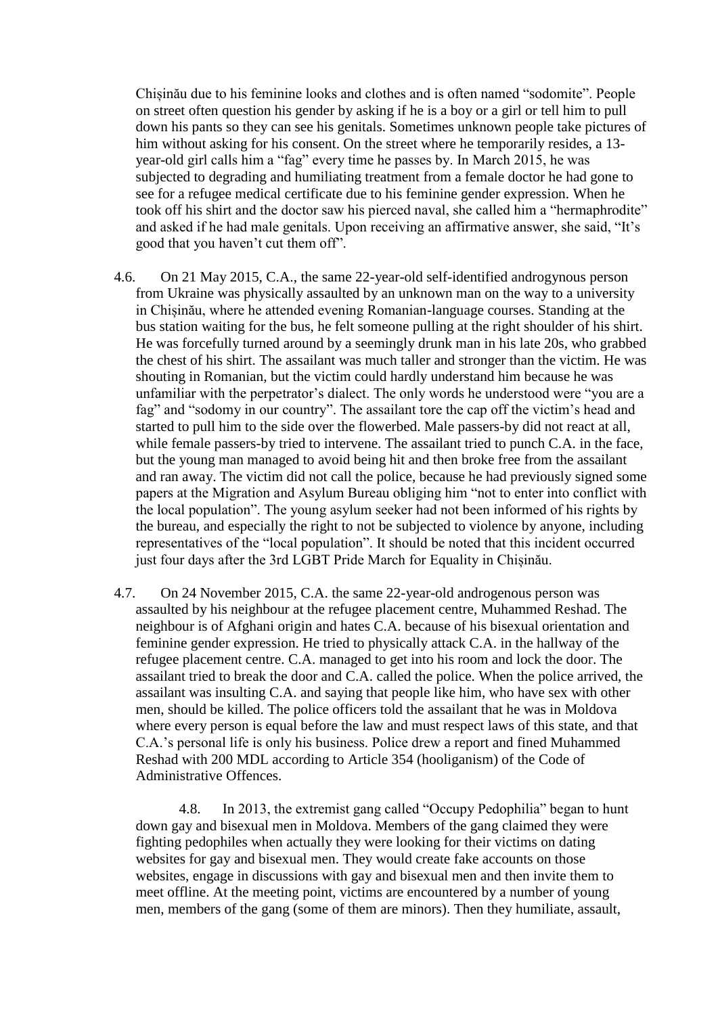Chișinău due to his feminine looks and clothes and is often named "sodomite". People on street often question his gender by asking if he is a boy or a girl or tell him to pull down his pants so they can see his genitals. Sometimes unknown people take pictures of him without asking for his consent. On the street where he temporarily resides, a 13 year-old girl calls him a "fag" every time he passes by. In March 2015, he was subjected to degrading and humiliating treatment from a female doctor he had gone to see for a refugee medical certificate due to his feminine gender expression. When he took off his shirt and the doctor saw his pierced naval, she called him a "hermaphrodite" and asked if he had male genitals. Upon receiving an affirmative answer, she said, "It's good that you haven't cut them off".

- 4.6. On 21 May 2015, C.A., the same 22-year-old self-identified androgynous person from Ukraine was physically assaulted by an unknown man on the way to a university in Chișinău, where he attended evening Romanian-language courses. Standing at the bus station waiting for the bus, he felt someone pulling at the right shoulder of his shirt. He was forcefully turned around by a seemingly drunk man in his late 20s, who grabbed the chest of his shirt. The assailant was much taller and stronger than the victim. He was shouting in Romanian, but the victim could hardly understand him because he was unfamiliar with the perpetrator's dialect. The only words he understood were "you are a fag" and "sodomy in our country". The assailant tore the cap off the victim's head and started to pull him to the side over the flowerbed. Male passers-by did not react at all, while female passers-by tried to intervene. The assailant tried to punch C.A. in the face, but the young man managed to avoid being hit and then broke free from the assailant and ran away. The victim did not call the police, because he had previously signed some papers at the Migration and Asylum Bureau obliging him "not to enter into conflict with the local population". The young asylum seeker had not been informed of his rights by the bureau, and especially the right to not be subjected to violence by anyone, including representatives of the "local population". It should be noted that this incident occurred just four days after the 3rd LGBT Pride March for Equality in Chișinău.
- 4.7. On 24 November 2015, C.A. the same 22-year-old androgenous person was assaulted by his neighbour at the refugee placement centre, Muhammed Reshad. The neighbour is of Afghani origin and hates C.A. because of his bisexual orientation and feminine gender expression. He tried to physically attack C.A. in the hallway of the refugee placement centre. C.A. managed to get into his room and lock the door. The assailant tried to break the door and C.A. called the police. When the police arrived, the assailant was insulting C.A. and saying that people like him, who have sex with other men, should be killed. The police officers told the assailant that he was in Moldova where every person is equal before the law and must respect laws of this state, and that C.A.'s personal life is only his business. Police drew a report and fined Muhammed Reshad with 200 MDL according to Article 354 (hooliganism) of the Code of Administrative Offences.

4.8. In 2013, the extremist gang called "Occupy Pedophilia" began to hunt down gay and bisexual men in Moldova. Members of the gang claimed they were fighting pedophiles when actually they were looking for their victims on dating websites for gay and bisexual men. They would create fake accounts on those websites, engage in discussions with gay and bisexual men and then invite them to meet offline. At the meeting point, victims are encountered by a number of young men, members of the gang (some of them are minors). Then they humiliate, assault,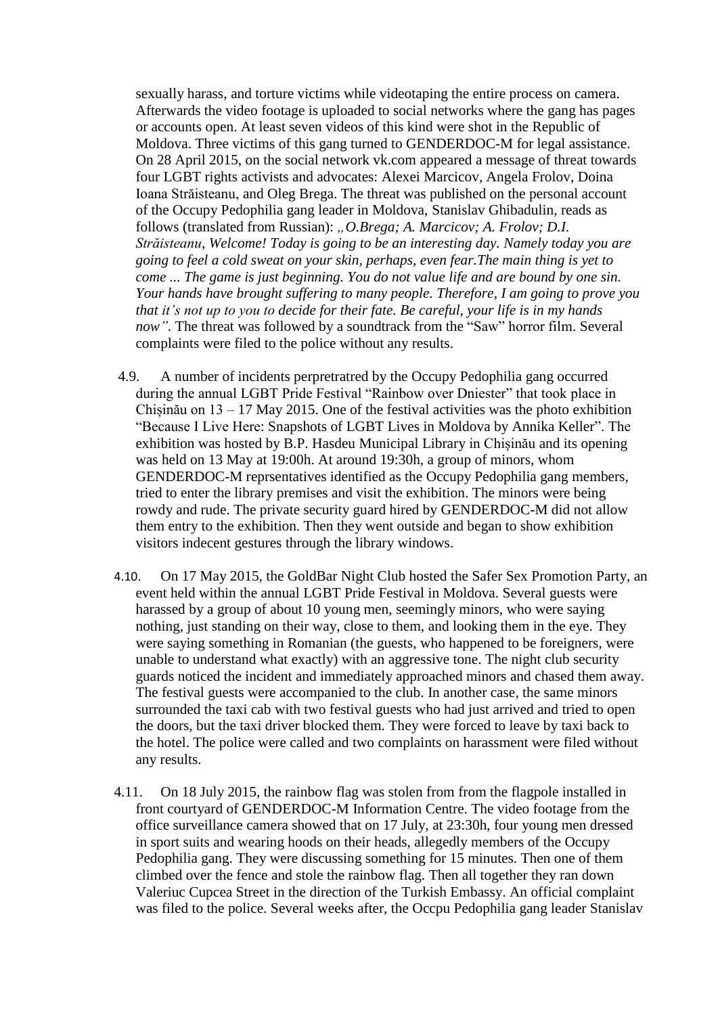sexually harass, and torture victims while videotaping the entire process on camera. Afterwards the video footage is uploaded to social networks where the gang has pages or accounts open. At least seven videos of this kind were shot in the Republic of Moldova. Three victims of this gang turned to GENDERDOC-M for legal assistance. On 28 April 2015, on the social network vk.com appeared a message of threat towards four LGBT rights activists and advocates: Alexei Marcicov, Angela Frolov, Doina Ioana Străisteanu, and Oleg Brega. The threat was published on the personal account of the Occupy Pedophilia gang leader in Moldova, Stanislav Ghibadulin, reads as follows (translated from Russian): *"O.Brega; A. Marcicov; A. Frolov; D.I. Străisteanu, Welcome! Today is going to be an interesting day. Namely today you are going to feel a cold sweat on your skin, perhaps, even fear.The main thing is yet to come ... The game is just beginning. You do not value life and are bound by one sin. Your hands have brought suffering to many people. Therefore, I am going to prove you that it's not up to you to decide for their fate. Be careful, your life is in my hands now"*. The threat was followed by a soundtrack from the "Saw" horror film. Several complaints were filed to the police without any results.

- 4.9. A number of incidents perpretratred by the Occupy Pedophilia gang occurred during the annual LGBT Pride Festival "Rainbow over Dniester" that took place in Chișinău on 13 – 17 May 2015. One of the festival activities was the photo exhibition "Because I Live Here: Snapshots of LGBT Lives in Moldova by Annika Keller". The exhibition was hosted by B.P. Hasdeu Municipal Library in Chișinău and its opening was held on 13 May at 19:00h. At around 19:30h, a group of minors, whom GENDERDOC-M reprsentatives identified as the Occupy Pedophilia gang members, tried to enter the library premises and visit the exhibition. The minors were being rowdy and rude. The private security guard hired by GENDERDOC-M did not allow them entry to the exhibition. Then they went outside and began to show exhibition visitors indecent gestures through the library windows.
- 4.10. On 17 May 2015, the GoldBar Night Club hosted the Safer Sex Promotion Party, an event held within the annual LGBT Pride Festival in Moldova. Several guests were harassed by a group of about 10 young men, seemingly minors, who were saying nothing, just standing on their way, close to them, and looking them in the eye. They were saying something in Romanian (the guests, who happened to be foreigners, were unable to understand what exactly) with an aggressive tone. The night club security guards noticed the incident and immediately approached minors and chased them away. The festival guests were accompanied to the club. In another case, the same minors surrounded the taxi cab with two festival guests who had just arrived and tried to open the doors, but the taxi driver blocked them. They were forced to leave by taxi back to the hotel. The police were called and two complaints on harassment were filed without any results.
- 4.11. On 18 July 2015, the rainbow flag was stolen from from the flagpole installed in front courtyard of GENDERDOC-M Information Centre. The video footage from the office surveillance camera showed that on 17 July, at 23:30h, four young men dressed in sport suits and wearing hoods on their heads, allegedly members of the Occupy Pedophilia gang. They were discussing something for 15 minutes. Then one of them climbed over the fence and stole the rainbow flag. Then all together they ran down Valeriuc Cupcea Street in the direction of the Turkish Embassy. An official complaint was filed to the police. Several weeks after, the Occpu Pedophilia gang leader Stanislav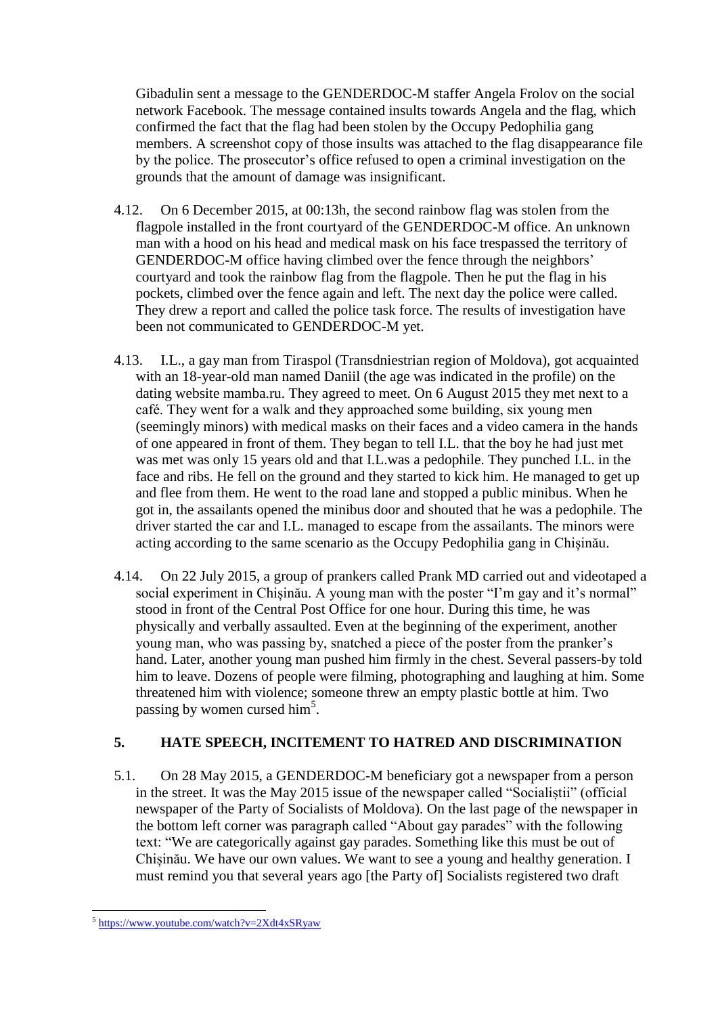Gibadulin sent a message to the GENDERDOC-M staffer Angela Frolov on the social network Facebook. The message contained insults towards Angela and the flag, which confirmed the fact that the flag had been stolen by the Occupy Pedophilia gang members. A screenshot copy of those insults was attached to the flag disappearance file by the police. The prosecutor's office refused to open a criminal investigation on the grounds that the amount of damage was insignificant.

- 4.12. On 6 December 2015, at 00:13h, the second rainbow flag was stolen from the flagpole installed in the front courtyard of the GENDERDOC-M office. An unknown man with a hood on his head and medical mask on his face trespassed the territory of GENDERDOC-M office having climbed over the fence through the neighbors' courtyard and took the rainbow flag from the flagpole. Then he put the flag in his pockets, climbed over the fence again and left. The next day the police were called. They drew a report and called the police task force. The results of investigation have been not communicated to GENDERDOC-M yet.
- 4.13. I.L., a gay man from Tiraspol (Transdniestrian region of Moldova), got acquainted with an 18-year-old man named Daniil (the age was indicated in the profile) on the dating website mamba.ru. They agreed to meet. On 6 August 2015 they met next to a café. They went for a walk and they approached some building, six young men (seemingly minors) with medical masks on their faces and a video camera in the hands of one appeared in front of them. They began to tell I.L. that the boy he had just met was met was only 15 years old and that I.L.was a pedophile. They punched I.L. in the face and ribs. He fell on the ground and they started to kick him. He managed to get up and flee from them. He went to the road lane and stopped a public minibus. When he got in, the assailants opened the minibus door and shouted that he was a pedophile. The driver started the car and I.L. managed to escape from the assailants. The minors were acting according to the same scenario as the Occupy Pedophilia gang in Chișinău.
- 4.14. On 22 July 2015, a group of prankers called Prank MD carried out and videotaped a social experiment in Chișinău. A young man with the poster "I'm gay and it's normal" stood in front of the Central Post Office for one hour. During this time, he was physically and verbally assaulted. Even at the beginning of the experiment, another young man, who was passing by, snatched a piece of the poster from the pranker's hand. Later, another young man pushed him firmly in the chest. Several passers-by told him to leave. Dozens of people were filming, photographing and laughing at him. Some threatened him with violence; someone threw an empty plastic bottle at him. Two passing by women cursed him<sup>5</sup>.

# **5. HATE SPEECH, INCITEMENT TO HATRED AND DISCRIMINATION**

5.1. On 28 May 2015, a GENDERDOC-M beneficiary got a newspaper from a person in the street. It was the May 2015 issue of the newspaper called "Socialiștii" (official newspaper of the Party of Socialists of Moldova). On the last page of the newspaper in the bottom left corner was paragraph called "About gay parades" with the following text: "We are categorically against gay parades. Something like this must be out of Chișinău. We have our own values. We want to see a young and healthy generation. I must remind you that several years ago [the Party of] Socialists registered two draft

 5 <https://www.youtube.com/watch?v=2Xdt4xSRyaw>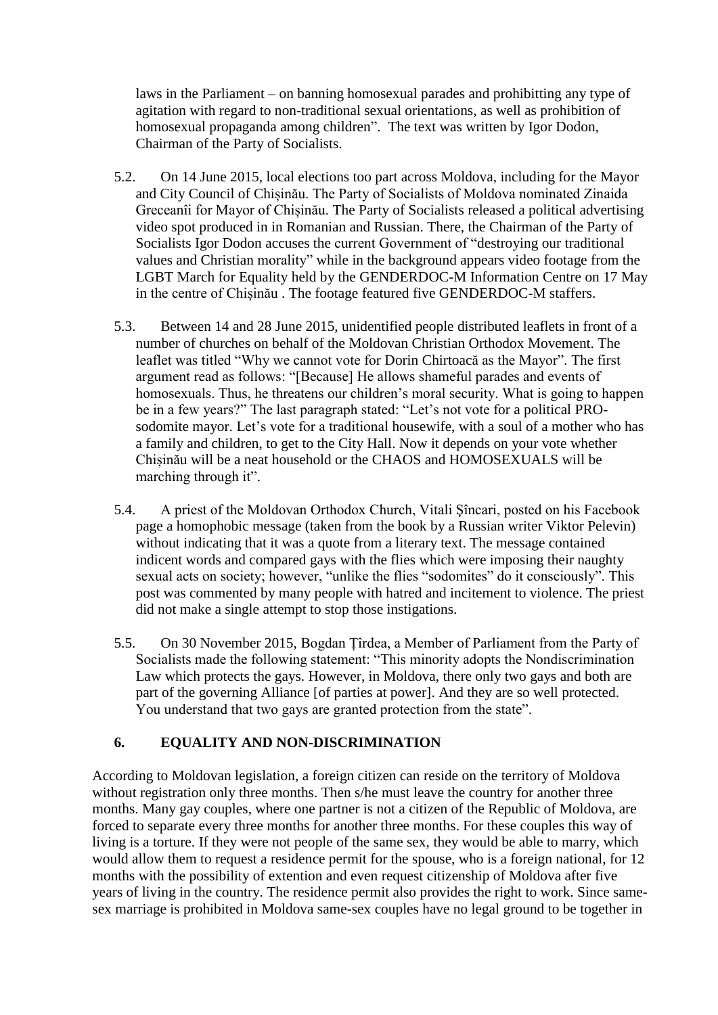laws in the Parliament – on banning homosexual parades and prohibitting any type of agitation with regard to non-traditional sexual orientations, as well as prohibition of homosexual propaganda among children". The text was written by Igor Dodon, Chairman of the Party of Socialists.

- 5.2. On 14 June 2015, local elections too part across Moldova, including for the Mayor and City Council of Chișinău. The Party of Socialists of Moldova nominated Zinaida Greceanîi for Mayor of Chișinău. The Party of Socialists released a political advertising video spot produced in in Romanian and Russian. There, the Chairman of the Party of Socialists Igor Dodon accuses the current Government of "destroying our traditional values and Christian morality" while in the background appears video footage from the LGBT March for Equality held by the GENDERDOC-M Information Centre on 17 May in the centre of Chișinău . The footage featured five GENDERDOC-M staffers.
- 5.3. Between 14 and 28 June 2015, unidentified people distributed leaflets in front of a number of churches on behalf of the Moldovan Christian Orthodox Movement. The leaflet was titled "Why we cannot vote for Dorin Chirtoacă as the Mayor". The first argument read as follows: "[Because] He allows shameful parades and events of homosexuals. Thus, he threatens our children's moral security. What is going to happen be in a few years?" The last paragraph stated: "Let's not vote for a political PROsodomite mayor. Let's vote for a traditional housewife, with a soul of a mother who has a family and children, to get to the City Hall. Now it depends on your vote whether Chișinău will be a neat household or the CHAOS and HOMOSEXUALS will be marching through it".
- 5.4. A priest of the Moldovan Orthodox Church, Vitali Şîncari, posted on his Facebook page a homophobic message (taken from the book by a Russian writer Viktor Pelevin) without indicating that it was a quote from a literary text. The message contained indicent words and compared gays with the flies which were imposing their naughty sexual acts on society; however, "unlike the flies "sodomites" do it consciously". This post was commented by many people with hatred and incitement to violence. The priest did not make a single attempt to stop those instigations.
- 5.5. On 30 November 2015, Bogdan Țîrdea, a Member of Parliament from the Party of Socialists made the following statement: "This minority adopts the Nondiscrimination Law which protects the gays. However, in Moldova, there only two gays and both are part of the governing Alliance [of parties at power]. And they are so well protected. You understand that two gays are granted protection from the state".

# **6. EQUALITY AND NON-DISCRIMINATION**

According to Moldovan legislation, a foreign citizen can reside on the territory of Moldova without registration only three months. Then s/he must leave the country for another three months. Many gay couples, where one partner is not a citizen of the Republic of Moldova, are forced to separate every three months for another three months. For these couples this way of living is a torture. If they were not people of the same sex, they would be able to marry, which would allow them to request a residence permit for the spouse, who is a foreign national, for 12 months with the possibility of extention and even request citizenship of Moldova after five years of living in the country. The residence permit also provides the right to work. Since samesex marriage is prohibited in Moldova same-sex couples have no legal ground to be together in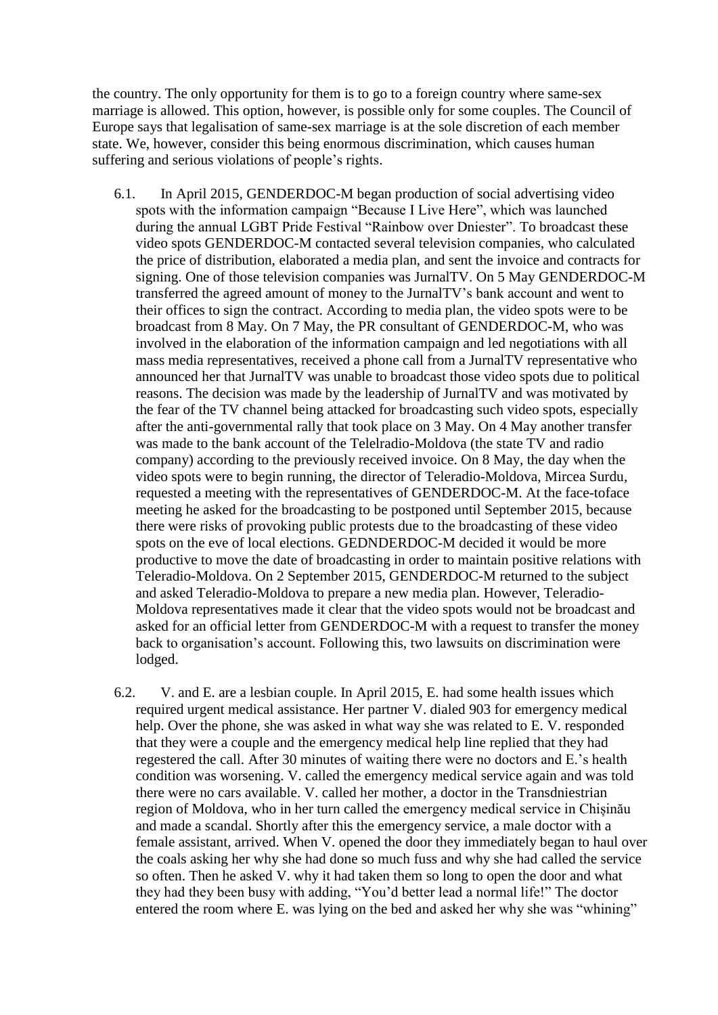the country. The only opportunity for them is to go to a foreign country where same-sex marriage is allowed. This option, however, is possible only for some couples. The Council of Europe says that legalisation of same-sex marriage is at the sole discretion of each member state. We, however, consider this being enormous discrimination, which causes human suffering and serious violations of people's rights.

- 6.1. In April 2015, GENDERDOC-M began production of social advertising video spots with the information campaign "Because I Live Here", which was launched during the annual LGBT Pride Festival "Rainbow over Dniester". To broadcast these video spots GENDERDOC-M contacted several television companies, who calculated the price of distribution, elaborated a media plan, and sent the invoice and contracts for signing. One of those television companies was JurnalTV. On 5 May GENDERDOC-M transferred the agreed amount of money to the JurnalTV's bank account and went to their offices to sign the contract. According to media plan, the video spots were to be broadcast from 8 May. On 7 May, the PR consultant of GENDERDOC-M, who was involved in the elaboration of the information campaign and led negotiations with all mass media representatives, received a phone call from a JurnalTV representative who announced her that JurnalTV was unable to broadcast those video spots due to political reasons. The decision was made by the leadership of JurnalTV and was motivated by the fear of the TV channel being attacked for broadcasting such video spots, especially after the anti-governmental rally that took place on 3 May. On 4 May another transfer was made to the bank account of the Telelradio-Moldova (the state TV and radio company) according to the previously received invoice. On 8 May, the day when the video spots were to begin running, the director of Teleradio-Moldova, Mircea Surdu, requested a meeting with the representatives of GENDERDOC-M. At the face-toface meeting he asked for the broadcasting to be postponed until September 2015, because there were risks of provoking public protests due to the broadcasting of these video spots on the eve of local elections. GEDNDERDOC-M decided it would be more productive to move the date of broadcasting in order to maintain positive relations with Teleradio-Moldova. On 2 September 2015, GENDERDOC-M returned to the subject and asked Teleradio-Moldova to prepare a new media plan. However, Teleradio-Moldova representatives made it clear that the video spots would not be broadcast and asked for an official letter from GENDERDOC-M with a request to transfer the money back to organisation's account. Following this, two lawsuits on discrimination were lodged.
- 6.2. V. and E. are a lesbian couple. In April 2015, E. had some health issues which required urgent medical assistance. Her partner V. dialed 903 for emergency medical help. Over the phone, she was asked in what way she was related to E. V. responded that they were a couple and the emergency medical help line replied that they had regestered the call. After 30 minutes of waiting there were no doctors and E.'s health condition was worsening. V. called the emergency medical service again and was told there were no cars available. V. called her mother, a doctor in the Transdniestrian region of Moldova, who in her turn called the emergency medical service in Chișinău and made a scandal. Shortly after this the emergency service, a male doctor with a female assistant, arrived. When V. opened the door they immediately began to haul over the coals asking her why she had done so much fuss and why she had called the service so often. Then he asked V. why it had taken them so long to open the door and what they had they been busy with adding, "You'd better lead a normal life!" The doctor entered the room where E. was lying on the bed and asked her why she was "whining"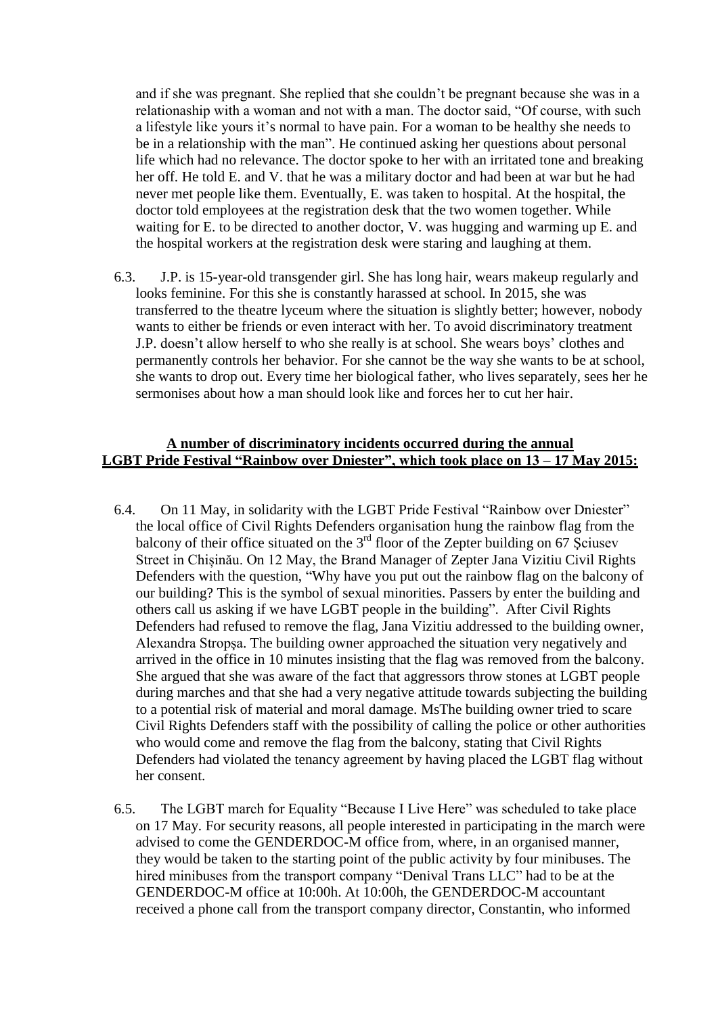and if she was pregnant. She replied that she couldn't be pregnant because she was in a relationaship with a woman and not with a man. The doctor said, "Of course, with such a lifestyle like yours it's normal to have pain. For a woman to be healthy she needs to be in a relationship with the man". He continued asking her questions about personal life which had no relevance. The doctor spoke to her with an irritated tone and breaking her off. He told E. and V. that he was a military doctor and had been at war but he had never met people like them. Eventually, E. was taken to hospital. At the hospital, the doctor told employees at the registration desk that the two women together. While waiting for E. to be directed to another doctor, V. was hugging and warming up E. and the hospital workers at the registration desk were staring and laughing at them.

6.3. J.P. is 15-year-old transgender girl. She has long hair, wears makeup regularly and looks feminine. For this she is constantly harassed at school. In 2015, she was transferred to the theatre lyceum where the situation is slightly better; however, nobody wants to either be friends or even interact with her. To avoid discriminatory treatment J.P. doesn't allow herself to who she really is at school. She wears boys' clothes and permanently controls her behavior. For she cannot be the way she wants to be at school, she wants to drop out. Every time her biological father, who lives separately, sees her he sermonises about how a man should look like and forces her to cut her hair.

#### **A number of discriminatory incidents occurred during the annual LGBT Pride Festival "Rainbow over Dniester", which took place on 13 – 17 May 2015:**

- 6.4. On 11 May, in solidarity with the LGBT Pride Festival "Rainbow over Dniester" the local office of Civil Rights Defenders organisation hung the rainbow flag from the balcony of their office situated on the  $3<sup>rd</sup>$  floor of the Zepter building on 67 Sciusev Street in Chișinău. On 12 May, the Brand Manager of Zepter Jana Vizitiu Civil Rights Defenders with the question, "Why have you put out the rainbow flag on the balcony of our building? This is the symbol of sexual minorities. Passers by enter the building and others call us asking if we have LGBT people in the building". After Civil Rights Defenders had refused to remove the flag, Jana Vizitiu addressed to the building owner, Alexandra Stropşa. The building owner approached the situation very negatively and arrived in the office in 10 minutes insisting that the flag was removed from the balcony. She argued that she was aware of the fact that aggressors throw stones at LGBT people during marches and that she had a very negative attitude towards subjecting the building to a potential risk of material and moral damage. MsThe building owner tried to scare Civil Rights Defenders staff with the possibility of calling the police or other authorities who would come and remove the flag from the balcony, stating that Civil Rights Defenders had violated the tenancy agreement by having placed the LGBT flag without her consent.
- 6.5. The LGBT march for Equality "Because I Live Here" was scheduled to take place on 17 May. For security reasons, all people interested in participating in the march were advised to come the GENDERDOC-M office from, where, in an organised manner, they would be taken to the starting point of the public activity by four minibuses. The hired minibuses from the transport company "Denival Trans LLC" had to be at the GENDERDOC-M office at 10:00h. At 10:00h, the GENDERDOC-M accountant received a phone call from the transport company director, Constantin, who informed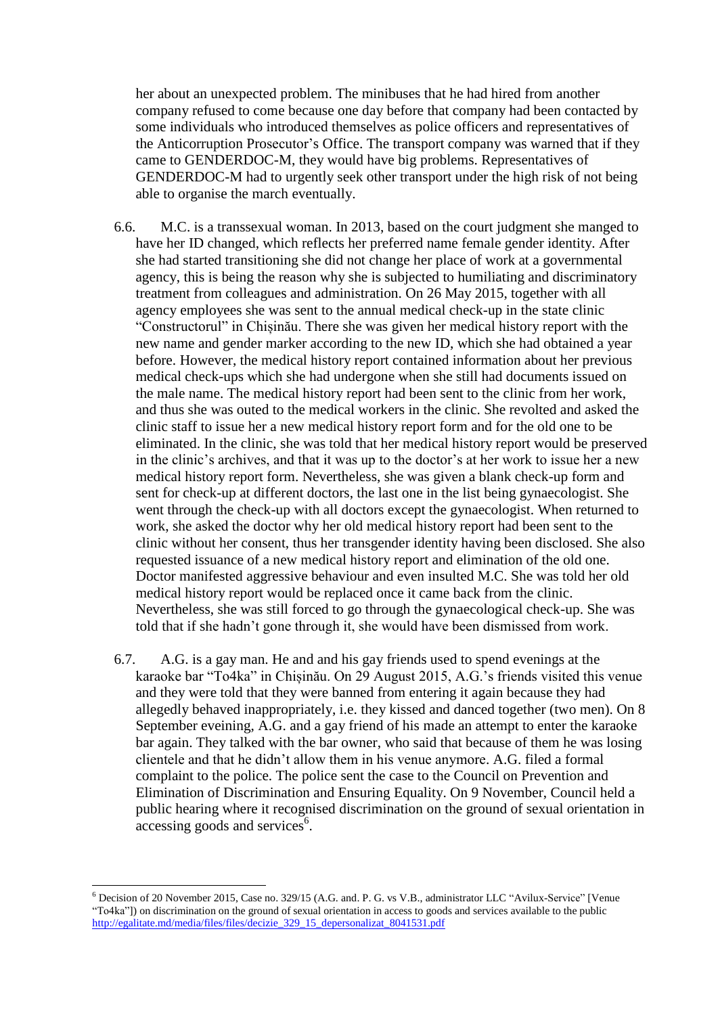her about an unexpected problem. The minibuses that he had hired from another company refused to come because one day before that company had been contacted by some individuals who introduced themselves as police officers and representatives of the Anticorruption Prosecutor's Office. The transport company was warned that if they came to GENDERDOC-M, they would have big problems. Representatives of GENDERDOC-M had to urgently seek other transport under the high risk of not being able to organise the march eventually.

- 6.6. M.C. is a transsexual woman. In 2013, based on the court judgment she manged to have her ID changed, which reflects her preferred name female gender identity. After she had started transitioning she did not change her place of work at a governmental agency, this is being the reason why she is subjected to humiliating and discriminatory treatment from colleagues and administration. On 26 May 2015, together with all agency employees she was sent to the annual medical check-up in the state clinic "Constructorul" in Chișinău. There she was given her medical history report with the new name and gender marker according to the new ID, which she had obtained a year before. However, the medical history report contained information about her previous medical check-ups which she had undergone when she still had documents issued on the male name. The medical history report had been sent to the clinic from her work, and thus she was outed to the medical workers in the clinic. She revolted and asked the clinic staff to issue her a new medical history report form and for the old one to be eliminated. In the clinic, she was told that her medical history report would be preserved in the clinic's archives, and that it was up to the doctor's at her work to issue her a new medical history report form. Nevertheless, she was given a blank check-up form and sent for check-up at different doctors, the last one in the list being gynaecologist. She went through the check-up with all doctors except the gynaecologist. When returned to work, she asked the doctor why her old medical history report had been sent to the clinic without her consent, thus her transgender identity having been disclosed. She also requested issuance of a new medical history report and elimination of the old one. Doctor manifested aggressive behaviour and even insulted M.C. She was told her old medical history report would be replaced once it came back from the clinic. Nevertheless, she was still forced to go through the gynaecological check-up. She was told that if she hadn't gone through it, she would have been dismissed from work.
- 6.7. A.G. is a gay man. He and and his gay friends used to spend evenings at the karaoke bar "To4ka" in Chișinău. On 29 August 2015, A.G.'s friends visited this venue and they were told that they were banned from entering it again because they had allegedly behaved inappropriately, i.e. they kissed and danced together (two men). On 8 September eveining, A.G. and a gay friend of his made an attempt to enter the karaoke bar again. They talked with the bar owner, who said that because of them he was losing clientele and that he didn't allow them in his venue anymore. A.G. filed a formal complaint to the police. The police sent the case to the Council on Prevention and Elimination of Discrimination and Ensuring Equality. On 9 November, Council held a public hearing where it recognised discrimination on the ground of sexual orientation in  $\frac{1}{\text{accessing goods}}$  and services<sup>6</sup>.

<sup>6</sup> Decision of 20 November 2015, Case no. 329/15 (A.G. and. P. G. vs V.B., administrator LLC "Avilux-Service" [Venue "To4ka"]) on discrimination on the ground of sexual orientation in access to goods and services available to the public [http://egalitate.md/media/files/files/decizie\\_329\\_15\\_depersonalizat\\_8041531.pdf](http://egalitate.md/media/files/files/decizie_329_15_depersonalizat_8041531.pdf)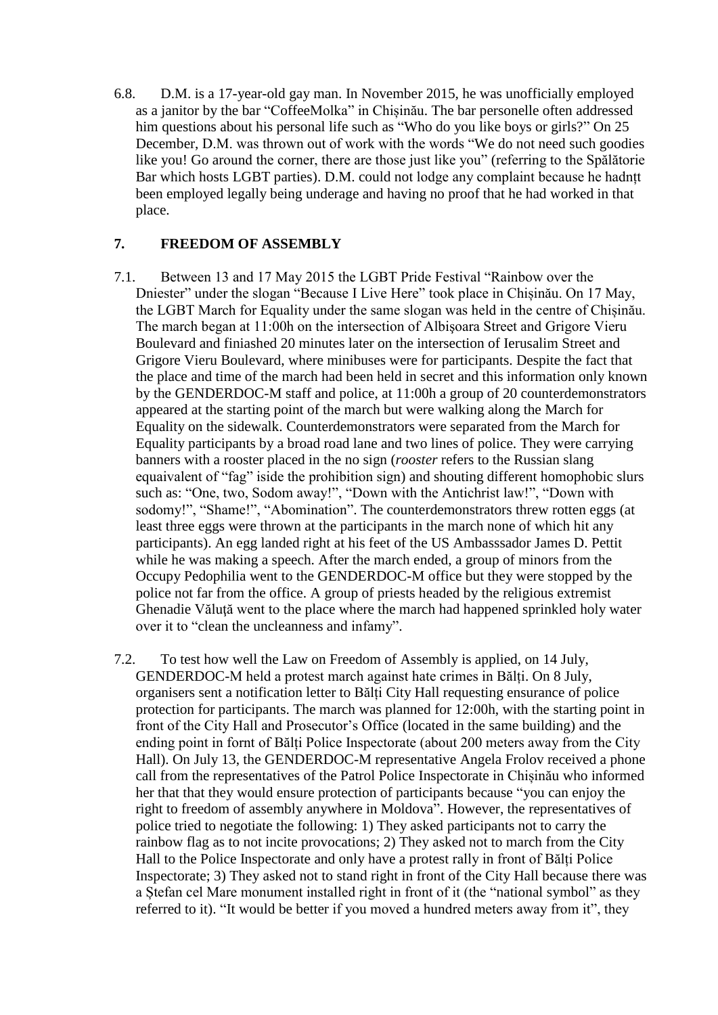6.8. D.M. is a 17-year-old gay man. In November 2015, he was unofficially employed as a janitor by the bar "CoffeeMolka" in Chișinău. The bar personelle often addressed him questions about his personal life such as "Who do you like boys or girls?" On 25 December, D.M. was thrown out of work with the words "We do not need such goodies like you! Go around the corner, there are those just like you" (referring to the Spălătorie Bar which hosts LGBT parties). D.M. could not lodge any complaint because he hadnțt been employed legally being underage and having no proof that he had worked in that place.

## **7. FREEDOM OF ASSEMBLY**

- 7.1. Between 13 and 17 May 2015 the LGBT Pride Festival "Rainbow over the Dniester" under the slogan "Because I Live Here" took place in Chișinău. On 17 May, the LGBT March for Equality under the same slogan was held in the centre of Chișinău. The march began at 11:00h on the intersection of Albişoara Street and Grigore Vieru Boulevard and finiashed 20 minutes later on the intersection of Ierusalim Street and Grigore Vieru Boulevard, where minibuses were for participants. Despite the fact that the place and time of the march had been held in secret and this information only known by the GENDERDOC-M staff and police, at 11:00h a group of 20 counterdemonstrators appeared at the starting point of the march but were walking along the March for Equality on the sidewalk. Counterdemonstrators were separated from the March for Equality participants by a broad road lane and two lines of police. They were carrying banners with a rooster placed in the no sign (*rooster* refers to the Russian slang equaivalent of "fag" iside the prohibition sign) and shouting different homophobic slurs such as: "One, two, Sodom away!", "Down with the Antichrist law!", "Down with sodomy!", "Shame!", "Abomination". The counterdemonstrators threw rotten eggs (at least three eggs were thrown at the participants in the march none of which hit any participants). An egg landed right at his feet of the US Ambasssador James D. Pettit while he was making a speech. After the march ended, a group of minors from the Occupy Pedophilia went to the GENDERDOC-M office but they were stopped by the police not far from the office. A group of priests headed by the religious extremist Ghenadie Văluţă went to the place where the march had happened sprinkled holy water over it to "clean the uncleanness and infamy".
- 7.2. To test how well the Law on Freedom of Assembly is applied, on 14 July, GENDERDOC-M held a protest march against hate crimes in Bălți. On 8 July, organisers sent a notification letter to Bălți City Hall requesting ensurance of police protection for participants. The march was planned for 12:00h, with the starting point in front of the City Hall and Prosecutor's Office (located in the same building) and the ending point in fornt of Bălți Police Inspectorate (about 200 meters away from the City Hall). On July 13, the GENDERDOC-M representative Angela Frolov received a phone call from the representatives of the Patrol Police Inspectorate in Chișinău who informed her that that they would ensure protection of participants because "you can enjoy the right to freedom of assembly anywhere in Moldova". However, the representatives of police tried to negotiate the following: 1) They asked participants not to carry the rainbow flag as to not incite provocations; 2) They asked not to march from the City Hall to the Police Inspectorate and only have a protest rally in front of Bălți Police Inspectorate; 3) They asked not to stand right in front of the City Hall because there was a Ștefan cel Mare monument installed right in front of it (the "national symbol" as they referred to it). "It would be better if you moved a hundred meters away from it", they